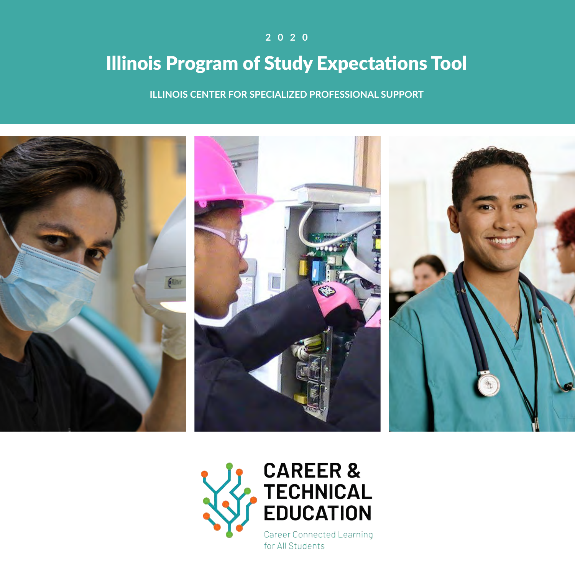#### **2020**

# Illinois Program of Study Expectations Tool

**ILLINOIS CENTER FOR SPECIALIZED PROFESSIONAL SUPPORT**



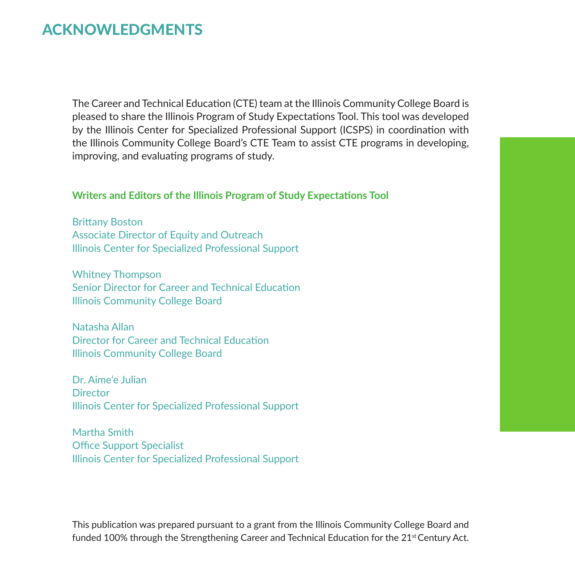# ACKNOWLEDGMENTS

The Career and Technical Education (CTE) team at the Illinois Community College Board is pleased to share the Illinois Program of Study Expectations Tool. This tool was developed by the Illinois Center for Specialized Professional Support (ICSPS) in coordination with the Illinois Community College Board's CTE Team to assist CTE programs in developing, improving, and evaluating programs of study.

#### **Writers and Editors of the Illinois Program of Study Expectations Tool**

Brittany Boston Associate Director of Equity and Outreach Illinois Center for Specialized Professional Support

Whitney Thompson Senior Director for Career and Technical Education Illinois Community College Board

Natasha Allan Director for Career and Technical Education Illinois Community College Board

Dr. Aime'e Julian **Director** Illinois Center for Specialized Professional Support

Martha Smith Office Support Specialist Illinois Center for Specialized Professional Support

This publication was prepared pursuant to a grant from the Illinois Community College Board and funded 100% through the Strengthening Career and Technical Education for the 21<sup>st</sup> Century Act.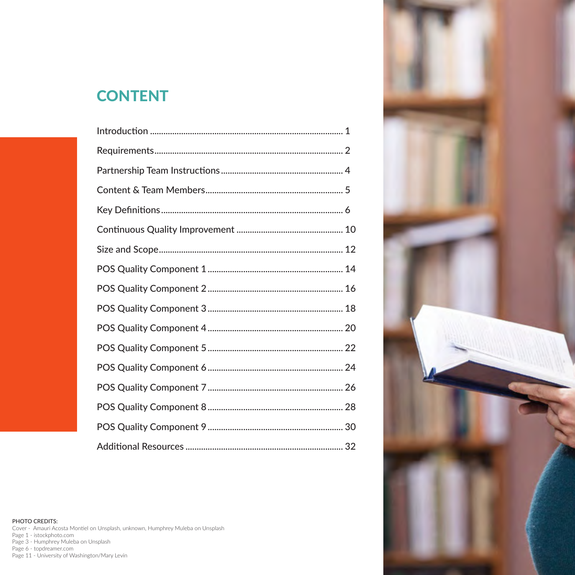# **CONTENT**

PHOTO CREDITS: Cover - Amauri Acosta Montiel on Unsplash, unknown, Humphrey Muleba on Unsplash<br>Page 3 - Humphrey Muleba on Unsplash<br>Page 3 - Humphrey Muleba on Unsplash<br>Page 6 - topdreamer.com<br>Page 11 - University of Washington/Mary Levi

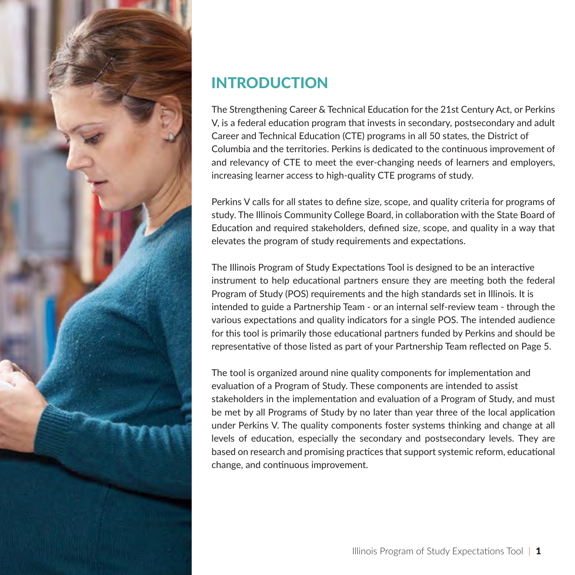

# INTRODUCTION

The Strengthening Career & Technical Education for the 21st Century Act, or Perkins V, is a federal education program that invests in secondary, postsecondary and adult Career and Technical Education (CTE) programs in all 50 states, the District of Columbia and the territories. Perkins is dedicated to the continuous improvement of and relevancy of CTE to meet the ever-changing needs of learners and employers, increasing learner access to high-quality CTE programs of study.

Perkins V calls for all states to define size, scope, and quality criteria for programs of study. The Illinois Community College Board, in collaboration with the State Board of Education and required stakeholders, defined size, scope, and quality in a way that elevates the program of study requirements and expectations.

The Illinois Program of Study Expectations Tool is designed to be an interactive instrument to help educational partners ensure they are meeting both the federal Program of Study (POS) requirements and the high standards set in Illinois. It is intended to guide a Partnership Team - or an internal self-review team - through the various expectations and quality indicators for a single POS. The intended audience for this tool is primarily those educational partners funded by Perkins and should be representative of those listed as part of your Partnership Team reflected on Page 5.

The tool is organized around nine quality components for implementation and evaluation of a Program of Study. These components are intended to assist stakeholders in the implementation and evaluation of a Program of Study, and must be met by all Programs of Study by no later than year three of the local application under Perkins V. The quality components foster systems thinking and change at all levels of education, especially the secondary and postsecondary levels. They are based on research and promising practices that support systemic reform, educational change, and continuous improvement.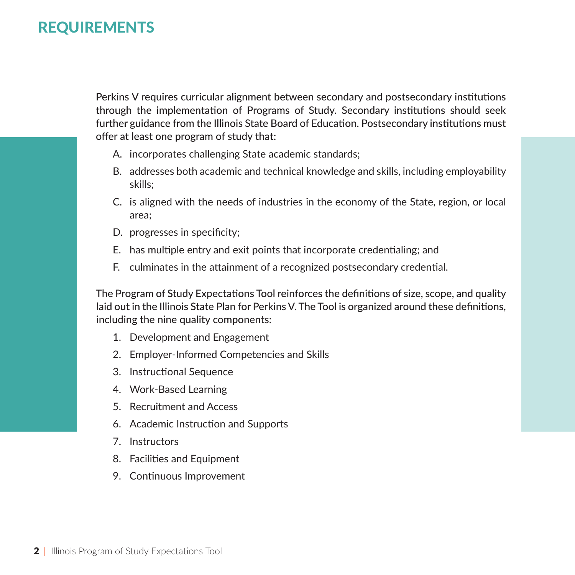# REQUIREMENTS

Perkins V requires curricular alignment between secondary and postsecondary institutions through the implementation of Programs of Study. Secondary institutions should seek further guidance from the Illinois State Board of Education. Postsecondary institutions must offer at least one program of study that:

- A. incorporates challenging State academic standards;
- B. addresses both academic and technical knowledge and skills, including employability skills;
- C. is aligned with the needs of industries in the economy of the State, region, or local area;
- D. progresses in specificity;
- E. has multiple entry and exit points that incorporate credentialing; and
- F. culminates in the attainment of a recognized postsecondary credential.

The Program of Study Expectations Tool reinforces the definitions of size, scope, and quality laid out in the Illinois State Plan for Perkins V. The Tool is organized around these definitions, including the nine quality components:

- 1. Development and Engagement
- 2. Employer-Informed Competencies and Skills
- 3. Instructional Sequence
- 4. Work-Based Learning
- 5. Recruitment and Access
- 6. Academic Instruction and Supports
- 7. Instructors
- 8. Facilities and Equipment
- 9. Continuous Improvement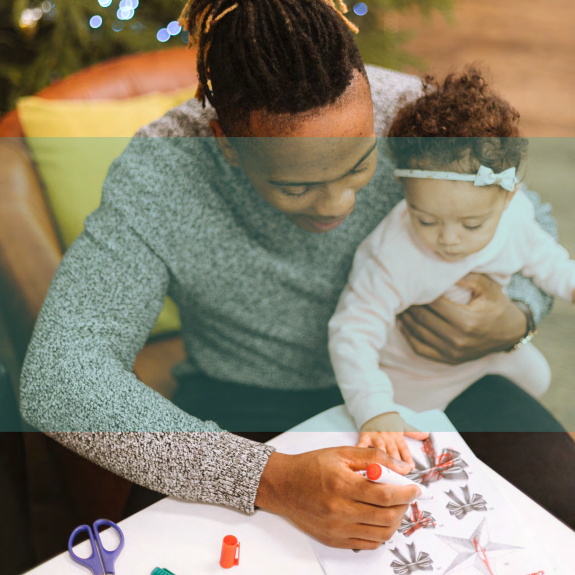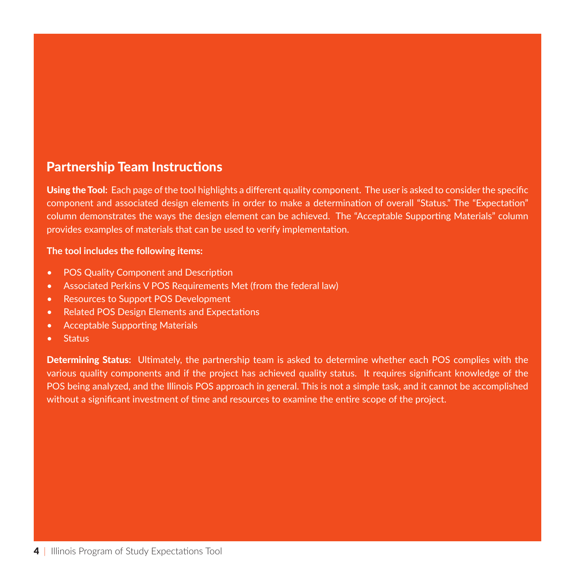# Partnership Team Instructions

Using the Tool**:** Each page of the tool highlights a different quality component. The user is asked to consider the specific component and associated design elements in order to make a determination of overall "Status." The "Expectation" column demonstrates the ways the design element can be achieved. The "Acceptable Supporting Materials" column provides examples of materials that can be used to verify implementation.

#### **The tool includes the following items:**

- POS Quality Component and Description
- Associated Perkins V POS Requirements Met (from the federal law)
- Resources to Support POS Development
- Related POS Design Elements and Expectations
- Acceptable Supporting Materials
- Status

Determining Status**:** Ultimately, the partnership team is asked to determine whether each POS complies with the various quality components and if the project has achieved quality status. It requires significant knowledge of the POS being analyzed, and the Illinois POS approach in general. This is not a simple task, and it cannot be accomplished without a significant investment of time and resources to examine the entire scope of the project.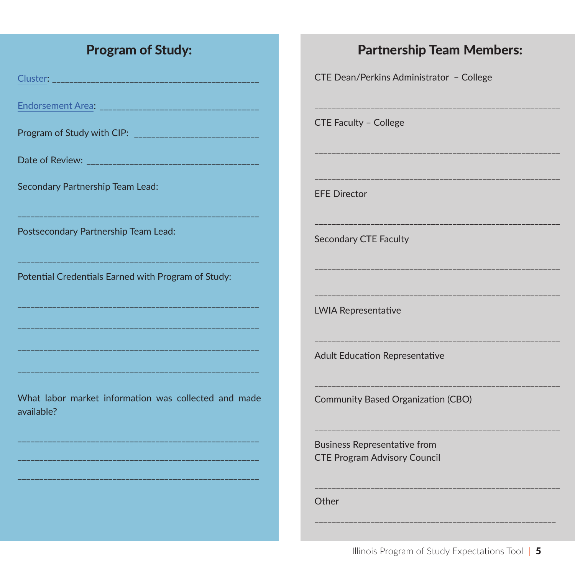## **Program of Study:**

Program of Study with CIP: \_\_\_\_\_\_\_\_\_\_\_\_\_\_\_\_\_\_\_\_\_\_\_\_

Secondary Partnership Team Lead:

Postsecondary Partnership Team Lead:

Potential Credentials Earned with Program of Study:

What labor market information was collected and made available?

**Partnership Team Members:** CTE Dean/Perkins Administrator - College **CTE Faculty - College EFE Director Secondary CTE Faculty LWIA Representative Adult Education Representative Community Based Organization (CBO) Business Representative from CTE Program Advisory Council** Other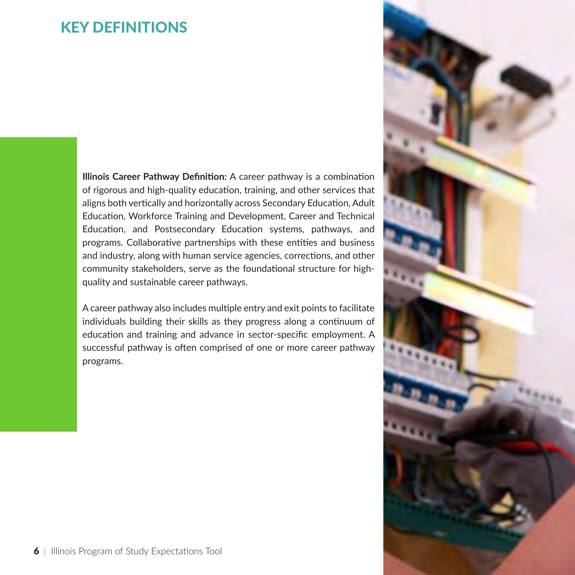# KEY DEFINITIONS

**Illinois Career Pathway Definition:** A career pathway is a combination of rigorous and high-quality education, training, and other services that aligns both vertically and horizontally across Secondary Education, Adult Education, Workforce Training and Development, Career and Technical Education, and Postsecondary Education systems, pathways, and programs. Collaborative partnerships with these entities and business and industry, along with human service agencies, corrections, and other community stakeholders, serve as the foundational structure for highquality and sustainable career pathways.

A career pathway also includes multiple entry and exit points to facilitate individuals building their skills as they progress along a continuum of education and training and advance in sector-specific employment. A successful pathway is often comprised of one or more career pathway programs.

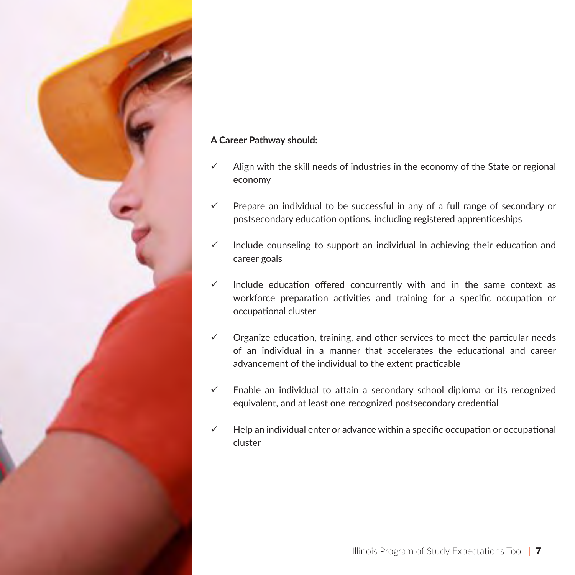

#### **A Career Pathway should:**

- Align with the skill needs of industries in the economy of the State or regional economy
- Prepare an individual to be successful in any of a full range of secondary or postsecondary education options, including registered apprenticeships
- Include counseling to support an individual in achieving their education and career goals
- $\checkmark$  Include education offered concurrently with and in the same context as workforce preparation activities and training for a specific occupation or occupational cluster
- $\checkmark$  Organize education, training, and other services to meet the particular needs of an individual in a manner that accelerates the educational and career advancement of the individual to the extent practicable
- $\checkmark$  Enable an individual to attain a secondary school diploma or its recognized equivalent, and at least one recognized postsecondary credential
- $\checkmark$  Help an individual enter or advance within a specific occupation or occupational cluster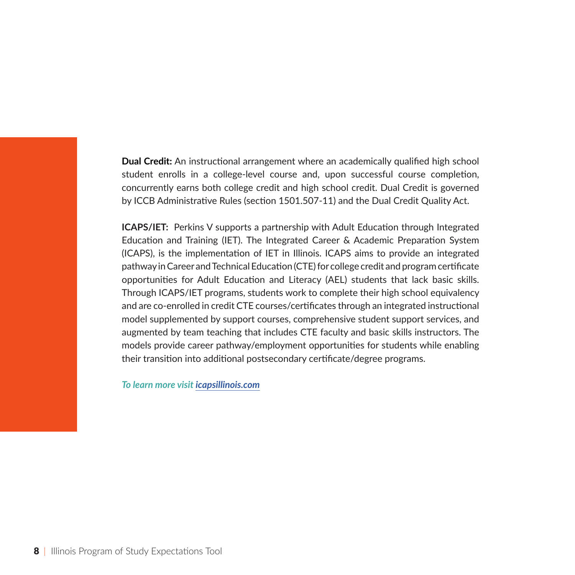**Dual Credit:** An instructional arrangement where an academically qualified high school student enrolls in a college-level course and, upon successful course completion, concurrently earns both college credit and high school credit. Dual Credit is governed by ICCB Administrative Rules (section 1501.507-11) and the Dual Credit Quality Act.

**ICAPS/IET:** Perkins V supports a partnership with Adult Education through Integrated Education and Training (IET). The Integrated Career & Academic Preparation System (ICAPS), is the implementation of IET in Illinois. ICAPS aims to provide an integrated pathway in Career and Technical Education (CTE) for college credit and program certificate opportunities for Adult Education and Literacy (AEL) students that lack basic skills. Through ICAPS/IET programs, students work to complete their high school equivalency and are co-enrolled in credit CTE courses/certificates through an integrated instructional model supplemented by support courses, comprehensive student support services, and augmented by team teaching that includes CTE faculty and basic skills instructors. The models provide career pathway/employment opportunities for students while enabling their transition into additional postsecondary certificate/degree programs.

*To learn more visit [icapsillinois.com](http://icapsillinois.com)*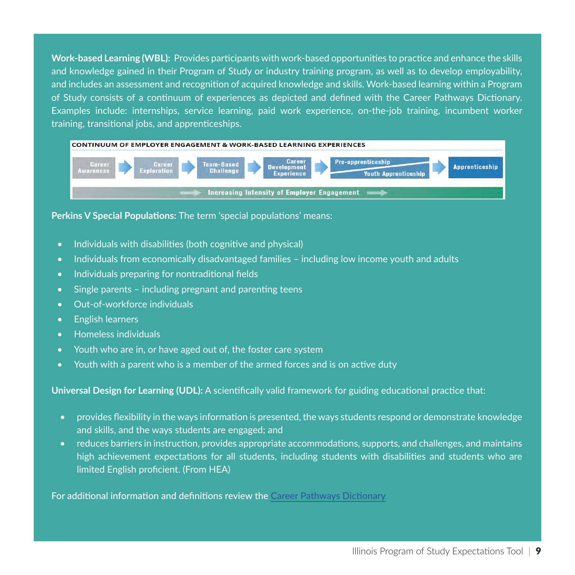**Work-based Learning (WBL):** Provides participants with work-based opportunities to practice and enhance the skills and knowledge gained in their Program of Study or industry training program, as well as to develop employability, and includes an assessment and recognition of acquired knowledge and skills. Work-based learning within a Program of Study consists of a continuum of experiences as depicted and defined with the Career Pathways Dictionary. Examples include: internships, service learning, paid work experience, on-the-job training, incumbent worker training, transitional jobs, and apprenticeships.



**Perkins V Special Populations:** The term 'special populations' means:

- Individuals with disabilities (both cognitive and physical)
- Individuals from economically disadvantaged families including low income youth and adults
- Individuals preparing for nontraditional fields
- Single parents including pregnant and parenting teens
- Out-of-workforce individuals
- English learners
- Homeless individuals
- Youth who are in, or have aged out of, the foster care system
- Youth with a parent who is a member of the armed forces and is on active duty

**Universal Design for Learning (UDL):** A scientifically valid framework for guiding educational practice that:

- provides flexibility in the ways information is presented, the ways students respond or demonstrate knowledge and skills, and the ways students are engaged; and
- reduces barriers in instruction, provides appropriate accommodations, supports, and challenges, and maintains high achievement expectations for all students, including students with disabilities and students who are limited English proficient. (From HEA)

For additional information and definitions review the [Career Pathways Dictionary](http://www.iccb.org/cte/wp-content/docs/CP_Dictionary_111318_FINAL.pdf)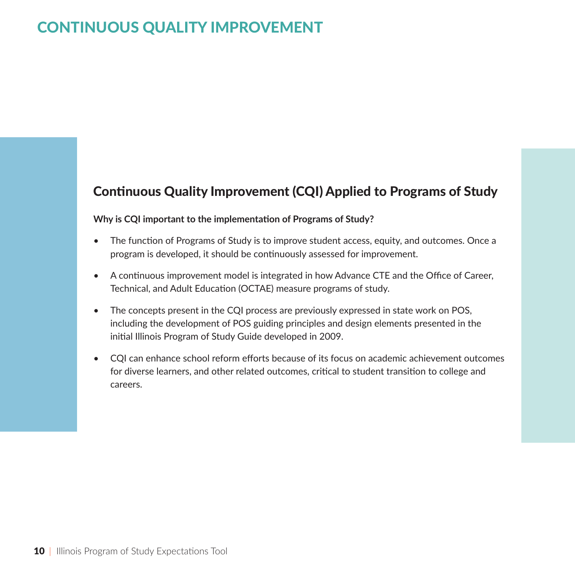# CONTINUOUS QUALITY IMPROVEMENT

# Continuous Quality Improvement (CQI) Applied to Programs of Study

#### **Why is CQI important to the implementation of Programs of Study?**

- The function of Programs of Study is to improve student access, equity, and outcomes. Once a program is developed, it should be continuously assessed for improvement.
- A continuous improvement model is integrated in how Advance CTE and the Office of Career, Technical, and Adult Education (OCTAE) measure programs of study.
- The concepts present in the CQI process are previously expressed in state work on POS, including the development of POS guiding principles and design elements presented in the initial Illinois Program of Study Guide developed in 2009.
- CQI can enhance school reform efforts because of its focus on academic achievement outcomes for diverse learners, and other related outcomes, critical to student transition to college and careers.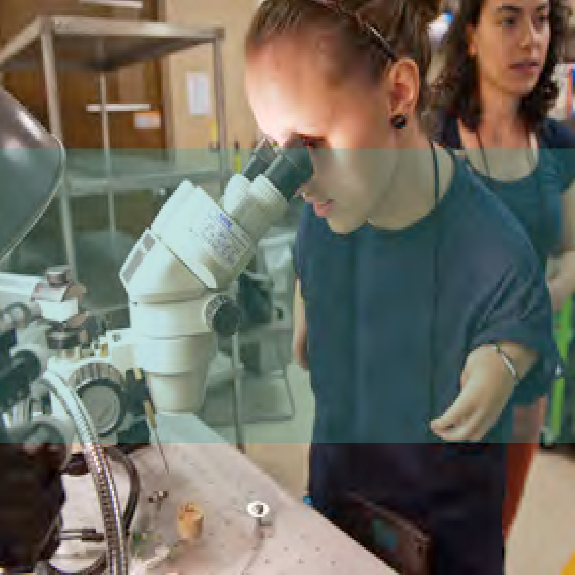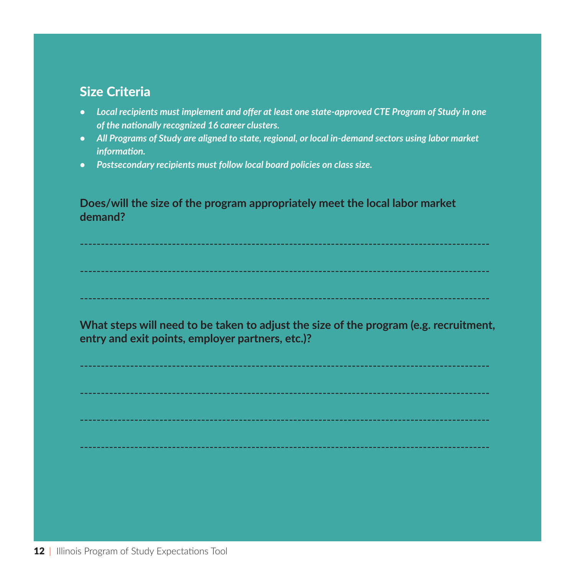# Size Criteria

- *• .Local recipients must implement and offer at least one state-approved CTE Program of Study in one of the nationally recognized 16 career clusters.*
- *• All Programs of Study are aligned to state, regional, or local in-demand sectors using labor market information.*
- *• Postsecondary recipients must follow local board policies on class size.*

**Does/will the size of the program appropriately meet the local labor market demand?** 

-------------------------------------------------------------------------------------------------- --------------------------------------------------------------------------------------------------

**What steps will need to be taken to adjust the size of the program (e.g. recruitment, entry and exit points, employer partners, etc.)?**

--------------------------------------------------------------------------------------------------

--------------------------------------------------------------------------------------------------

--------------------------------------------------------------------------------------------------

--------------------------------------------------------------------------------------------------

--------------------------------------------------------------------------------------------------

12 | Illinois Program of Study Expectations Tool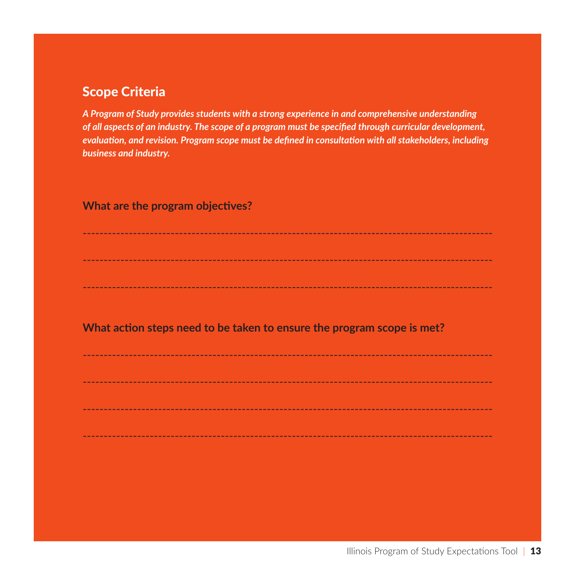# Scope Criteria

*A Program of Study provides students with a strong experience in and comprehensive understanding of all aspects of an industry. The scope of a program must be specified through curricular development, evaluation, and revision. Program scope must be defined in consultation with all stakeholders, including business and industry.* 

--------------------------------------------------------------------------------------------------

--------------------------------------------------------------------------------------------------

--------------------------------------------------------------------------------------------------

--------------------------------------------------------------------------------------------------

--------------------------------------------------------------------------------------------------

--------------------------------------------------------------------------------------------------

 $-$ 

**What are the program objectives?** 

**What action steps need to be taken to ensure the program scope is met?**

Illinois Program of Study Expectations Tool | 13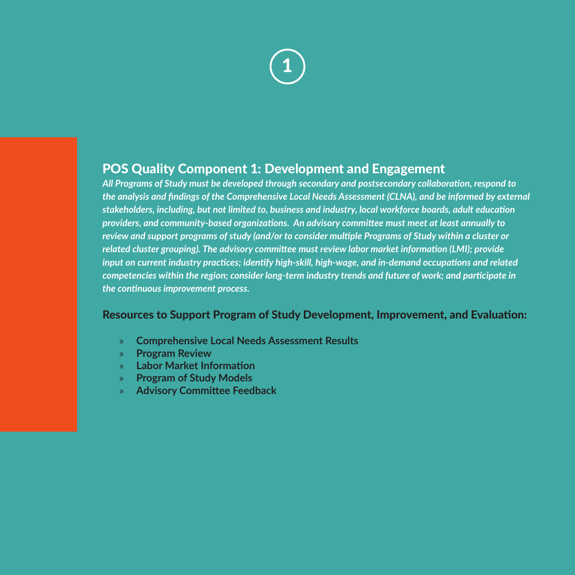

# POS Quality Component 1: Development and Engagement

*All Programs of Study must be developed through secondary and postsecondary collaboration, respond to the analysis and findings of the Comprehensive Local Needs Assessment (CLNA), and be informed by external stakeholders, including, but not limited to, business and industry, local workforce boards, adult education providers, and community-based organizations. An advisory committee must meet at least annually to review and support programs of study (and/or to consider multiple Programs of Study within a cluster or related cluster grouping). The advisory committee must review labor market information (LMI); provide input on current industry practices; identify high-skill, high-wage, and in-demand occupations and related competencies within the region; consider long-term industry trends and future of work; and participate in the continuous improvement process.*

- » **Comprehensive Local Needs Assessment Results**
- » **Program Review**
- » **Labor Market Information**
- » **Program of Study Models**
- » **Advisory Committee Feedback**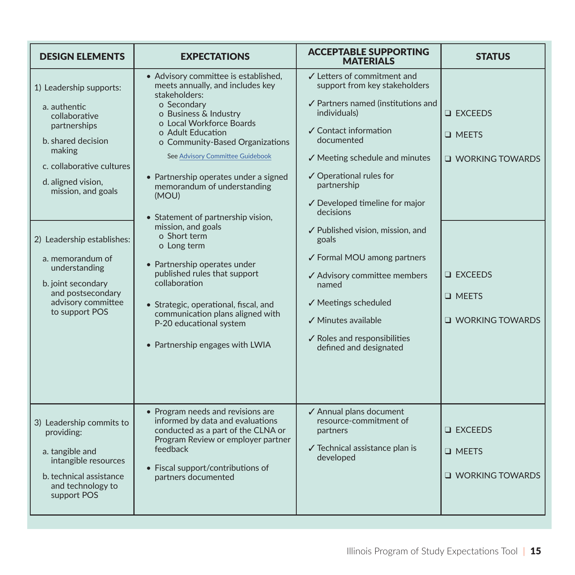| <b>DESIGN ELEMENTS</b>                                                                                                                                                                                                                                                                                                                  | <b>EXPECTATIONS</b>                                                                                                                                                                                                                                                                                                                                                                                                                                                                                                                                                                                                                                               | <b>ACCEPTABLE SUPPORTING</b><br><b>MATFRIALS</b>                                                                                                                                                                                                                                                                                                                                                                                                                                                                              | <b>STATUS</b>                                                                                                         |
|-----------------------------------------------------------------------------------------------------------------------------------------------------------------------------------------------------------------------------------------------------------------------------------------------------------------------------------------|-------------------------------------------------------------------------------------------------------------------------------------------------------------------------------------------------------------------------------------------------------------------------------------------------------------------------------------------------------------------------------------------------------------------------------------------------------------------------------------------------------------------------------------------------------------------------------------------------------------------------------------------------------------------|-------------------------------------------------------------------------------------------------------------------------------------------------------------------------------------------------------------------------------------------------------------------------------------------------------------------------------------------------------------------------------------------------------------------------------------------------------------------------------------------------------------------------------|-----------------------------------------------------------------------------------------------------------------------|
| 1) Leadership supports:<br>a. authentic<br>collaborative<br>partnerships<br>b. shared decision<br>making<br>c. collaborative cultures<br>d. aligned vision,<br>mission, and goals<br>2) Leadership establishes:<br>a. memorandum of<br>understanding<br>b. joint secondary<br>and postsecondary<br>advisory committee<br>to support POS | • Advisory committee is established,<br>meets annually, and includes key<br>stakeholders:<br>o Secondary<br>o Business & Industry<br>o Local Workforce Boards<br>o Adult Education<br>o Community-Based Organizations<br>See Advisory Committee Guidebook<br>• Partnership operates under a signed<br>memorandum of understanding<br>(MOU)<br>• Statement of partnership vision,<br>mission, and goals<br>o Short term<br>o Long term<br>• Partnership operates under<br>published rules that support<br>collaboration<br>· Strategic, operational, fiscal, and<br>communication plans aligned with<br>P-20 educational system<br>• Partnership engages with LWIA | $\checkmark$ Letters of commitment and<br>support from key stakeholders<br>✔ Partners named (institutions and<br>individuals)<br>✔ Contact information<br>documented<br>✓ Meeting schedule and minutes<br>✔ Operational rules for<br>partnership<br>✔ Developed timeline for major<br>decisions<br>√ Published vision, mission, and<br>goals<br>√ Formal MOU among partners<br>✔ Advisory committee members<br>named<br>√ Meetings scheduled<br>√ Minutes available<br>✓ Roles and responsibilities<br>defined and designated | $\Box$ EXCEEDS<br><b>D</b> MEETS<br><b>U WORKING TOWARDS</b><br>$\Box$ EXCEEDS<br><b>Q MEETS</b><br>U WORKING TOWARDS |
| 3) Leadership commits to<br>providing:<br>a. tangible and<br>intangible resources<br>b. technical assistance<br>and technology to<br>support POS                                                                                                                                                                                        | • Program needs and revisions are<br>informed by data and evaluations<br>conducted as a part of the CLNA or<br>Program Review or employer partner<br>feedback<br>• Fiscal support/contributions of<br>partners documented                                                                                                                                                                                                                                                                                                                                                                                                                                         | ✔ Annual plans document<br>resource-commitment of<br>partners<br>√ Technical assistance plan is<br>developed                                                                                                                                                                                                                                                                                                                                                                                                                  | <b>Q</b> EXCEEDS<br><b>D</b> MEETS<br><b>U WORKING TOWARDS</b>                                                        |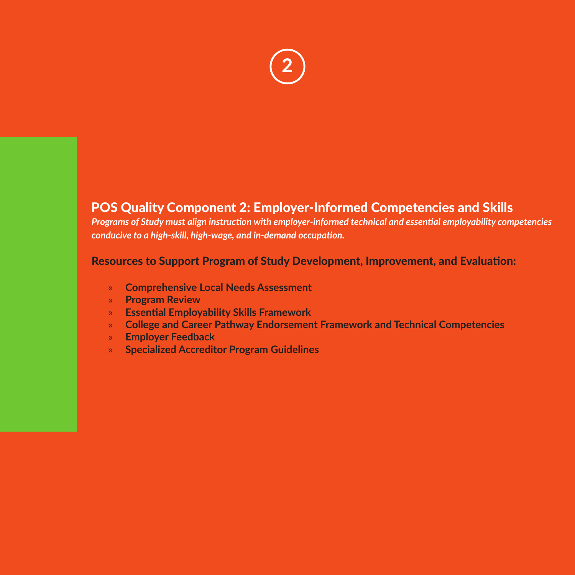

# POS Quality Component 2: Employer-Informed Competencies and Skills

*Programs of Study must align instruction with employer-informed technical and essential employability competencies conducive to a high-skill, high-wage, and in-demand occupation.* 

- » **Comprehensive Local Needs Assessment**
- » **Program Review**
- » **Essential Employability Skills Framework**
- » **College and Career Pathway Endorsement Framework and Technical Competencies**
- » **Employer Feedback**
- » **Specialized Accreditor Program Guidelines**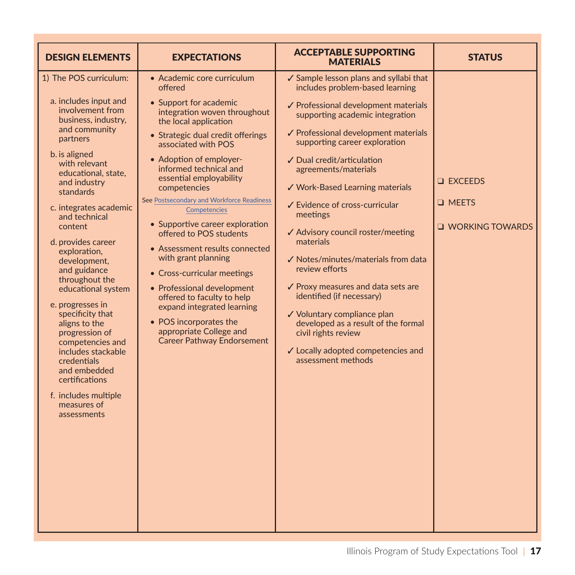| <b>DESIGN ELEMENTS</b>                                                                                                                                                                                                                                                                                                                                                                                                                                                                                                                                                                                        | <b>EXPECTATIONS</b>                                                                                                                                                                                                                                                                                                                                                                                                                                                                                                                                                                                                                                                                         | <b>ACCEPTABLE SUPPORTING</b><br><b>MATERIALS</b>                                                                                                                                                                                                                                                                                                                                                                                                                                                                                                                                                                                                                                                            | <b>STATUS</b>                                                |
|---------------------------------------------------------------------------------------------------------------------------------------------------------------------------------------------------------------------------------------------------------------------------------------------------------------------------------------------------------------------------------------------------------------------------------------------------------------------------------------------------------------------------------------------------------------------------------------------------------------|---------------------------------------------------------------------------------------------------------------------------------------------------------------------------------------------------------------------------------------------------------------------------------------------------------------------------------------------------------------------------------------------------------------------------------------------------------------------------------------------------------------------------------------------------------------------------------------------------------------------------------------------------------------------------------------------|-------------------------------------------------------------------------------------------------------------------------------------------------------------------------------------------------------------------------------------------------------------------------------------------------------------------------------------------------------------------------------------------------------------------------------------------------------------------------------------------------------------------------------------------------------------------------------------------------------------------------------------------------------------------------------------------------------------|--------------------------------------------------------------|
| 1) The POS curriculum:<br>a. includes input and<br>involvement from<br>business, industry,<br>and community<br>partners<br>b. is aligned<br>with relevant<br>educational, state,<br>and industry<br>standards<br>c. integrates academic<br>and technical<br>content<br>d. provides career<br>exploration,<br>development,<br>and guidance<br>throughout the<br>educational system<br>e. progresses in<br>specificity that<br>aligns to the<br>progression of<br>competencies and<br>includes stackable<br>credentials<br>and embedded<br>certifications<br>f. includes multiple<br>measures of<br>assessments | • Academic core curriculum<br>offered<br>• Support for academic<br>integration woven throughout<br>the local application<br>• Strategic dual credit offerings<br>associated with POS<br>• Adoption of employer-<br>informed technical and<br>essential employability<br>competencies<br>See Postsecondary and Workforce Readiness<br>Competencies<br>• Supportive career exploration<br>offered to POS students<br>• Assessment results connected<br>with grant planning<br>• Cross-curricular meetings<br>• Professional development<br>offered to faculty to help<br>expand integrated learning<br>• POS incorporates the<br>appropriate College and<br><b>Career Pathway Endorsement</b> | ✔ Sample lesson plans and syllabi that<br>includes problem-based learning<br>√ Professional development materials<br>supporting academic integration<br>√ Professional development materials<br>supporting career exploration<br>✔ Dual credit/articulation<br>agreements/materials<br>√ Work-Based Learning materials<br>✔ Evidence of cross-curricular<br>meetings<br>✔ Advisory council roster/meeting<br>materials<br>√ Notes/minutes/materials from data<br>review efforts<br>✔ Proxy measures and data sets are<br>identified (if necessary)<br>✔ Voluntary compliance plan<br>developed as a result of the formal<br>civil rights review<br>✔ Locally adopted competencies and<br>assessment methods | $\Box$ EXCEEDS<br><b>Q MEETS</b><br><b>U WORKING TOWARDS</b> |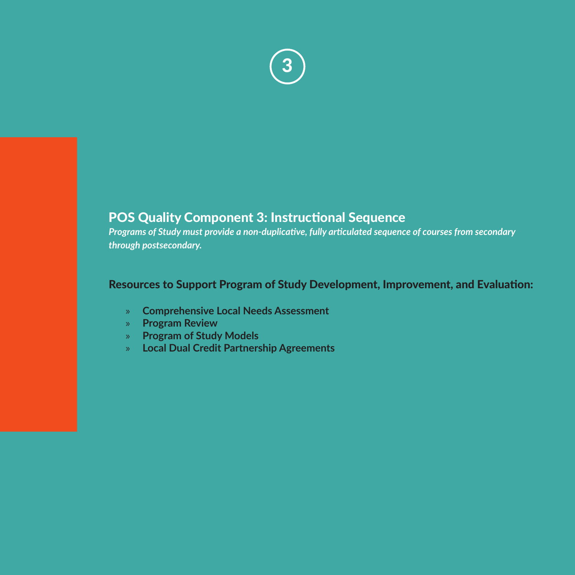

## POS Quality Component 3: Instructional Sequence

*Programs of Study must provide a non-duplicative, fully articulated sequence of courses from secondary through postsecondary.*

- » **Comprehensive Local Needs Assessment**
- » **Program Review**
- » **Program of Study Models**
- » **Local Dual Credit Partnership Agreements**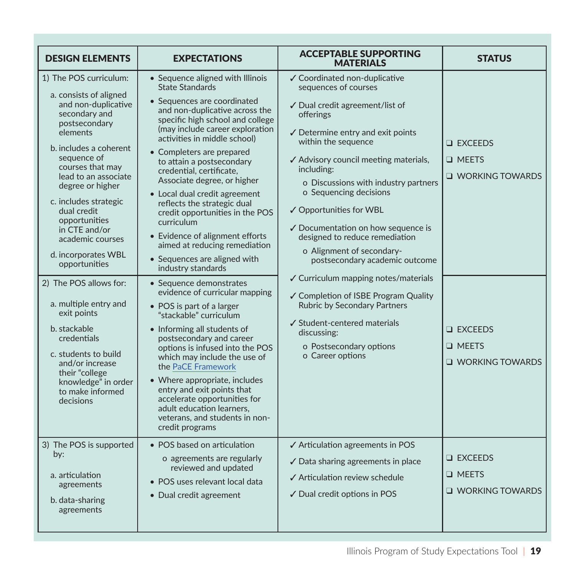| <b>DESIGN ELEMENTS</b>                                                                                                                                                                                                                                                                                                                                                                                                                                                                                           | <b>EXPECTATIONS</b>                                                                                                                                                                                                                                                                                                                                                                                                                                                                                                                                                                                                                                                                                                                                                                                                                                                        | <b>ACCEPTABLE SUPPORTING</b><br><b>MATERIALS</b>                                                                                                                                                                                                                                                                                                                                                                                                                                                                                                                                                                                                                                  | <b>STATUS</b>                                                                                                           |
|------------------------------------------------------------------------------------------------------------------------------------------------------------------------------------------------------------------------------------------------------------------------------------------------------------------------------------------------------------------------------------------------------------------------------------------------------------------------------------------------------------------|----------------------------------------------------------------------------------------------------------------------------------------------------------------------------------------------------------------------------------------------------------------------------------------------------------------------------------------------------------------------------------------------------------------------------------------------------------------------------------------------------------------------------------------------------------------------------------------------------------------------------------------------------------------------------------------------------------------------------------------------------------------------------------------------------------------------------------------------------------------------------|-----------------------------------------------------------------------------------------------------------------------------------------------------------------------------------------------------------------------------------------------------------------------------------------------------------------------------------------------------------------------------------------------------------------------------------------------------------------------------------------------------------------------------------------------------------------------------------------------------------------------------------------------------------------------------------|-------------------------------------------------------------------------------------------------------------------------|
| 1) The POS curriculum:<br>a. consists of aligned<br>and non-duplicative<br>secondary and<br>postsecondary<br>elements<br>b. includes a coherent<br>sequence of<br>courses that may<br>lead to an associate<br>degree or higher<br>c. includes strategic<br>dual credit<br>opportunities<br>in CTE and/or<br>academic courses<br>d. incorporates WBL<br>opportunities<br>2) The POS allows for:<br>a. multiple entry and<br>exit points<br>b. stackable<br>credentials<br>c. students to build<br>and/or increase | • Sequence aligned with Illinois<br><b>State Standards</b><br>• Sequences are coordinated<br>and non-duplicative across the<br>specific high school and college<br>(may include career exploration<br>activities in middle school)<br>• Completers are prepared<br>to attain a postsecondary<br>credential, certificate,<br>Associate degree, or higher<br>• Local dual credit agreement<br>reflects the strategic dual<br>credit opportunities in the POS<br>curriculum<br>• Evidence of alignment efforts<br>aimed at reducing remediation<br>• Sequences are aligned with<br>industry standards<br>• Sequence demonstrates<br>evidence of curricular mapping<br>• POS is part of a larger<br>"stackable" curriculum<br>• Informing all students of<br>postsecondary and career<br>options is infused into the POS<br>which may include the use of<br>the PaCE Framework | ✔ Coordinated non-duplicative<br>sequences of courses<br>√ Dual credit agreement/list of<br>offerings<br>✔ Determine entry and exit points<br>within the sequence<br>✔ Advisory council meeting materials,<br>including:<br>o Discussions with industry partners<br>o Sequencing decisions<br>√ Opportunities for WBL<br>✔ Documentation on how sequence is<br>designed to reduce remediation<br>o Alignment of secondary-<br>postsecondary academic outcome<br>✔ Curriculum mapping notes/materials<br>✔ Completion of ISBE Program Quality<br><b>Rubric by Secondary Partners</b><br>✔ Student-centered materials<br>discussing:<br>o Postsecondary options<br>o Career options | $\Box$ EXCEEDS<br><b>D</b> MEETS<br>U WORKING TOWARDS<br><b>D</b> EXCEEDS<br><b>D</b> MEETS<br><b>U WORKING TOWARDS</b> |
| their "college<br>knowledge" in order<br>to make informed<br>decisions                                                                                                                                                                                                                                                                                                                                                                                                                                           | • Where appropriate, includes<br>entry and exit points that<br>accelerate opportunities for<br>adult education learners,<br>veterans, and students in non-<br>credit programs                                                                                                                                                                                                                                                                                                                                                                                                                                                                                                                                                                                                                                                                                              |                                                                                                                                                                                                                                                                                                                                                                                                                                                                                                                                                                                                                                                                                   |                                                                                                                         |
| 3) The POS is supported<br>by:<br>a. articulation<br>agreements<br>b. data-sharing<br>agreements                                                                                                                                                                                                                                                                                                                                                                                                                 | • POS based on articulation<br>o agreements are regularly<br>reviewed and updated<br>• POS uses relevant local data<br>• Dual credit agreement                                                                                                                                                                                                                                                                                                                                                                                                                                                                                                                                                                                                                                                                                                                             | ✔ Articulation agreements in POS<br>$\checkmark$ Data sharing agreements in place<br>√ Articulation review schedule<br>✓ Dual credit options in POS                                                                                                                                                                                                                                                                                                                                                                                                                                                                                                                               | <b>Q</b> EXCEEDS<br><b>Q MEETS</b><br>U WORKING TOWARDS                                                                 |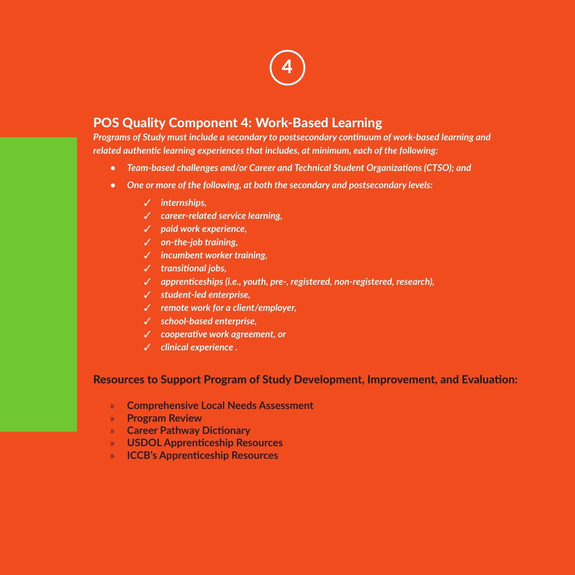# 4

# POS Quality Component 4: Work-Based Learning

*Programs of Study must include a secondary to postsecondary continuum of work-based learning and related authentic learning experiences that includes, at minimum, each of the following:*

- *• Team-based challenges and/or Career and Technical Student Organizations (CTSO); and*
- *• .One or more of the following, at both the secondary and postsecondary levels:*
	- ✓ *internships,*
	- ✓ *career-related service learning,*
	- ✓ *paid work experience,*
	- ✓ *on-the-job training,*
	- ✓ *incumbent worker training,*
	- ✓ *transitional jobs,*
	- ✓ *apprenticeships (i.e., youth, pre-, registered, non-registered, research),*
	- ✓ *student-led enterprise,*
	- ✓ *remote work for a client/employer,*
	- ✓ *school-based enterprise,*
	- ✓ *cooperative work agreement, or*
	- ✓ *clinical experience .*

- » **Comprehensive Local Needs Assessment**
- » **Program Review**
- » **Career Pathway Dictionary**
- » **USDOL Apprenticeship Resources**
- » **ICCB's Apprenticeship Resources**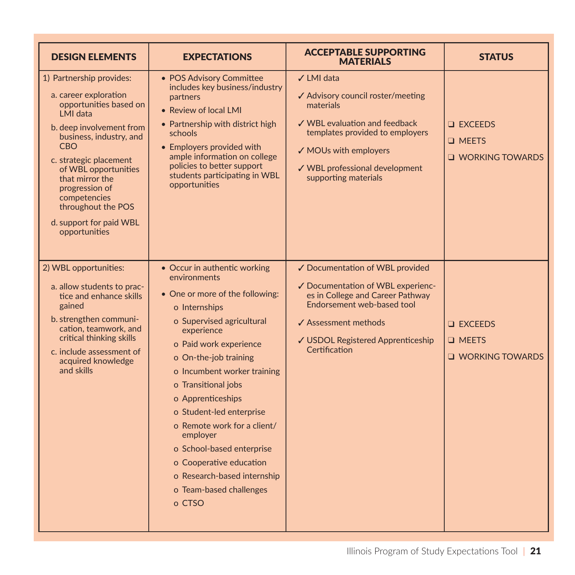| <b>DESIGN ELEMENTS</b>                                                                                                                                                                                                                                                                                                                | <b>EXPECTATIONS</b>                                                                                                                                                                                                                                                                                                                                                                                                                                                          | <b>ACCEPTABLE SUPPORTING</b><br><b>MATERIALS</b>                                                                                                                                                                     | <b>STATUS</b>                                                  |
|---------------------------------------------------------------------------------------------------------------------------------------------------------------------------------------------------------------------------------------------------------------------------------------------------------------------------------------|------------------------------------------------------------------------------------------------------------------------------------------------------------------------------------------------------------------------------------------------------------------------------------------------------------------------------------------------------------------------------------------------------------------------------------------------------------------------------|----------------------------------------------------------------------------------------------------------------------------------------------------------------------------------------------------------------------|----------------------------------------------------------------|
| 1) Partnership provides:<br>a. career exploration<br>opportunities based on<br>LMI data<br>b. deep involvement from<br>business, industry, and<br><b>CBO</b><br>c. strategic placement<br>of WBL opportunities<br>that mirror the<br>progression of<br>competencies<br>throughout the POS<br>d. support for paid WBL<br>opportunities | • POS Advisory Committee<br>includes key business/industry<br>partners<br>• Review of local LMI<br>• Partnership with district high<br>schools<br>• Employers provided with<br>ample information on college<br>policies to better support<br>students participating in WBL<br>opportunities                                                                                                                                                                                  | √ LMI data<br>√ Advisory council roster/meeting<br>materials<br>✔ WBL evaluation and feedback<br>templates provided to employers<br>✓ MOUs with employers<br>√ WBL professional development<br>supporting materials  | <b>Q EXCEEDS</b><br><b>Q MEETS</b><br><b>U WORKING TOWARDS</b> |
| 2) WBL opportunities:<br>a. allow students to prac-<br>tice and enhance skills<br>gained<br>b. strengthen communi-<br>cation, teamwork, and<br>critical thinking skills<br>c. include assessment of<br>acquired knowledge<br>and skills                                                                                               | • Occur in authentic working<br>environments<br>• One or more of the following:<br>o Internships<br>o Supervised agricultural<br>experience<br>o Paid work experience<br>o On-the-job training<br>o Incumbent worker training<br>o Transitional jobs<br>o Apprenticeships<br>o Student-led enterprise<br>o Remote work for a client/<br>employer<br>o School-based enterprise<br>o Cooperative education<br>o Research-based internship<br>o Team-based challenges<br>o CTSO | ✔ Documentation of WBL provided<br>✔ Documentation of WBL experienc-<br>es in College and Career Pathway<br>Endorsement web-based tool<br>✔ Assessment methods<br>√ USDOL Registered Apprenticeship<br>Certification | <b>Q EXCEEDS</b><br><b>Q MEETS</b><br><b>U WORKING TOWARDS</b> |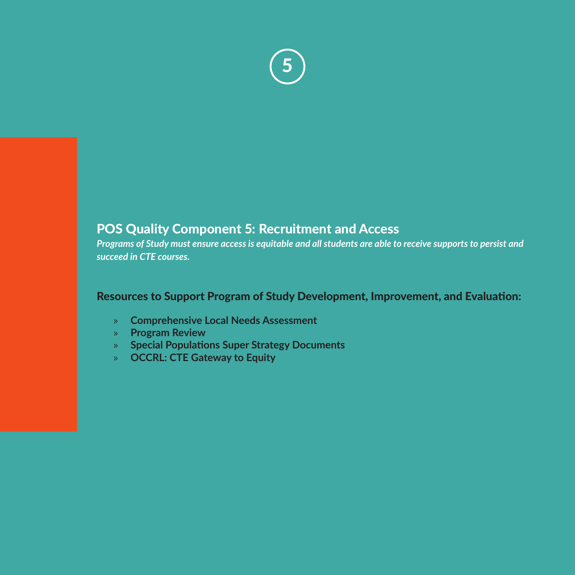

## POS Quality Component 5: Recruitment and Access

Programs of Study must ensure access is equitable and all students are able to receive supports to persist and *succeed in CTE courses.*

- » **Comprehensive Local Needs Assessment**
- » **Program Review**
- » **Special Populations Super Strategy Documents**
- » **OCCRL: CTE Gateway to Equity**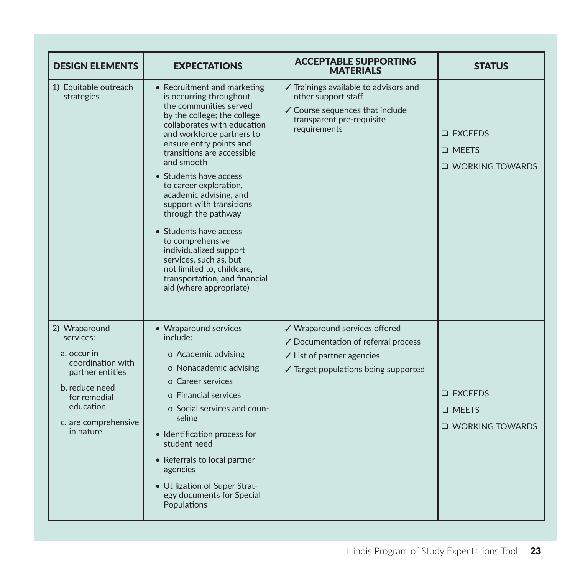| <b>DESIGN ELEMENTS</b>                                                                                                                                                 | <b>EXPECTATIONS</b>                                                                                                                                                                                                                                                                                                                                                                                                                                                                                                                                                             | <b>ACCEPTABLE SUPPORTING</b><br><b>MATERIALS</b>                                                                                                      | <b>STATUS</b>                                                |
|------------------------------------------------------------------------------------------------------------------------------------------------------------------------|---------------------------------------------------------------------------------------------------------------------------------------------------------------------------------------------------------------------------------------------------------------------------------------------------------------------------------------------------------------------------------------------------------------------------------------------------------------------------------------------------------------------------------------------------------------------------------|-------------------------------------------------------------------------------------------------------------------------------------------------------|--------------------------------------------------------------|
| 1) Equitable outreach<br>strategies                                                                                                                                    | • Recruitment and marketing<br>is occurring throughout<br>the communities served<br>by the college; the college<br>collaborates with education<br>and workforce partners to<br>ensure entry points and<br>transitions are accessible<br>and smooth<br>• Students have access<br>to career exploration,<br>academic advising, and<br>support with transitions<br>through the pathway<br>• Students have access<br>to comprehensive<br>individualized support<br>services, such as, but<br>not limited to, childcare,<br>transportation, and financial<br>aid (where appropriate) | √ Trainings available to advisors and<br>other support staff<br>✓ Course sequences that include<br>transparent pre-requisite<br>requirements          | $\Box$ EXCEEDS<br><b>Q MEETS</b><br><b>U WORKING TOWARDS</b> |
| 2) Wraparound<br>services:<br>a. occur in<br>coordination with<br>partner entities<br>b. reduce need<br>for remedial<br>education<br>c. are comprehensive<br>in nature | • Wraparound services<br>include:<br>o Academic advising<br>o Nonacademic advising<br>o Career services<br>o Financial services<br>o Social services and coun-<br>seling<br>· Identification process for<br>student need<br>• Referrals to local partner<br>agencies<br>• Utilization of Super Strat-<br>egy documents for Special<br>Populations                                                                                                                                                                                                                               | √ Wraparound services offered<br>✔ Documentation of referral process<br>$\checkmark$ List of partner agencies<br>√ Target populations being supported | $\Box$ EXCEEDS<br><b>Q MEETS</b><br><b>U WORKING TOWARDS</b> |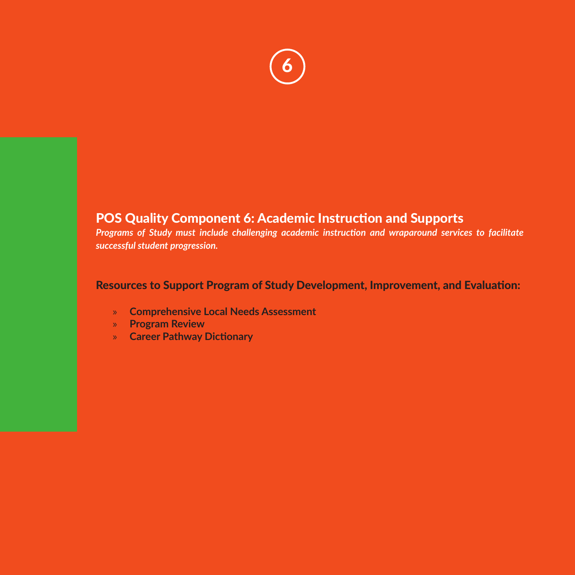

## POS Quality Component 6: Academic Instruction and Supports

*Programs of Study must include challenging academic instruction and wraparound services to facilitate successful student progression.*

- » **Comprehensive Local Needs Assessment**
- » **Program Review**
- » **Career Pathway Dictionary**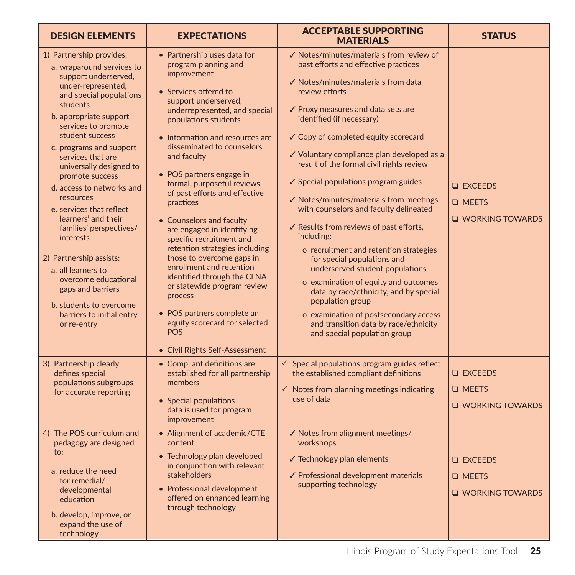| <b>DESIGN ELEMENTS</b>                                                                                                                                                                                                                                                                                                                                                                                                                                                                                                                                                                                                        | <b>EXPECTATIONS</b>                                                                                                                                                                                                                                                                                                                                                                                                                                                                                                                                                                                                                                                                                                                           | <b>ACCEPTABLE SUPPORTING</b><br><b>MATERIALS</b>                                                                                                                                                                                                                                                                                                                                                                                                                                                                                                                                                                                                                                                                                                                                                                                                                         | <b>STATUS</b>                                                  |
|-------------------------------------------------------------------------------------------------------------------------------------------------------------------------------------------------------------------------------------------------------------------------------------------------------------------------------------------------------------------------------------------------------------------------------------------------------------------------------------------------------------------------------------------------------------------------------------------------------------------------------|-----------------------------------------------------------------------------------------------------------------------------------------------------------------------------------------------------------------------------------------------------------------------------------------------------------------------------------------------------------------------------------------------------------------------------------------------------------------------------------------------------------------------------------------------------------------------------------------------------------------------------------------------------------------------------------------------------------------------------------------------|--------------------------------------------------------------------------------------------------------------------------------------------------------------------------------------------------------------------------------------------------------------------------------------------------------------------------------------------------------------------------------------------------------------------------------------------------------------------------------------------------------------------------------------------------------------------------------------------------------------------------------------------------------------------------------------------------------------------------------------------------------------------------------------------------------------------------------------------------------------------------|----------------------------------------------------------------|
| 1) Partnership provides:<br>a. wraparound services to<br>support underserved,<br>under-represented,<br>and special populations<br>students<br>b. appropriate support<br>services to promote<br>student success<br>c. programs and support<br>services that are<br>universally designed to<br>promote success<br>d. access to networks and<br>resources<br>e. services that reflect<br>learners' and their<br>families' perspectives/<br><i>interests</i><br>2) Partnership assists:<br>a. all learners to<br>overcome educational<br>gaps and barriers<br>b. students to overcome<br>barriers to initial entry<br>or re-entry | • Partnership uses data for<br>program planning and<br>improvement<br>• Services offered to<br>support underserved,<br>underrepresented, and special<br>populations students<br>• Information and resources are<br>disseminated to counselors<br>and faculty<br>• POS partners engage in<br>formal, purposeful reviews<br>of past efforts and effective<br>practices<br>• Counselors and faculty<br>are engaged in identifying<br>specific recruitment and<br>retention strategies including<br>those to overcome gaps in<br>enrollment and retention<br>identified through the CLNA<br>or statewide program review<br>process<br>• POS partners complete an<br>equity scorecard for selected<br><b>POS</b><br>• Civil Rights Self-Assessment | √ Notes/minutes/materials from review of<br>past efforts and effective practices<br>√ Notes/minutes/materials from data<br>review efforts<br>√ Proxy measures and data sets are<br>identified (if necessary)<br>✓ Copy of completed equity scorecard<br>√ Voluntary compliance plan developed as a<br>result of the formal civil rights review<br>✓ Special populations program guides<br>√ Notes/minutes/materials from meetings<br>with counselors and faculty delineated<br>✓ Results from reviews of past efforts,<br>including:<br>o recruitment and retention strategies<br>for special populations and<br>underserved student populations<br>o examination of equity and outcomes<br>data by race/ethnicity, and by special<br>population group<br>o examination of postsecondary access<br>and transition data by race/ethnicity<br>and special population group | <b>EXCEEDS</b><br><b>D</b> MEETS<br><b>U WORKING TOWARDS</b>   |
| 3) Partnership clearly<br>defines special<br>populations subgroups<br>for accurate reporting                                                                                                                                                                                                                                                                                                                                                                                                                                                                                                                                  | • Compliant definitions are<br>established for all partnership<br>members<br>• Special populations<br>data is used for program<br>improvement                                                                                                                                                                                                                                                                                                                                                                                                                                                                                                                                                                                                 | $\checkmark$ Special populations program guides reflect<br>the established compliant definitions<br>$\checkmark$ Notes from planning meetings indicating<br>use of data                                                                                                                                                                                                                                                                                                                                                                                                                                                                                                                                                                                                                                                                                                  | <b>EXCEEDS</b><br><b>Q MEETS</b><br><b>U WORKING TOWARDS</b>   |
| 4) The POS curriculum and<br>pedagogy are designed<br>to:<br>a. reduce the need<br>for remedial/<br>developmental<br>education<br>b. develop, improve, or<br>expand the use of<br>technology                                                                                                                                                                                                                                                                                                                                                                                                                                  | • Alignment of academic/CTE<br>content<br>• Technology plan developed<br>in conjunction with relevant<br>stakeholders<br>• Professional development<br>offered on enhanced learning<br>through technology                                                                                                                                                                                                                                                                                                                                                                                                                                                                                                                                     | √ Notes from alignment meetings/<br>workshops<br>✓ Technology plan elements<br>✔ Professional development materials<br>supporting technology                                                                                                                                                                                                                                                                                                                                                                                                                                                                                                                                                                                                                                                                                                                             | <b>Q</b> EXCEEDS<br><b>Q MEETS</b><br><b>U WORKING TOWARDS</b> |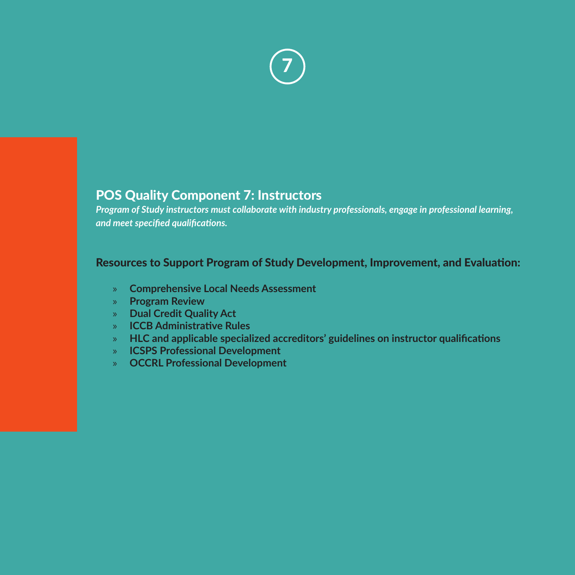

## POS Quality Component 7: Instructors

*Program of Study instructors must collaborate with industry professionals, engage in professional learning, and meet specified qualifications.* 

- » **Comprehensive Local Needs Assessment**
- » **Program Review**
- » **Dual Credit Quality Act**
- » **ICCB Administrative Rules**
- » **HLC and applicable specialized accreditors' guidelines on instructor qualifications**
- » **ICSPS Professional Development**
- » **OCCRL Professional Development**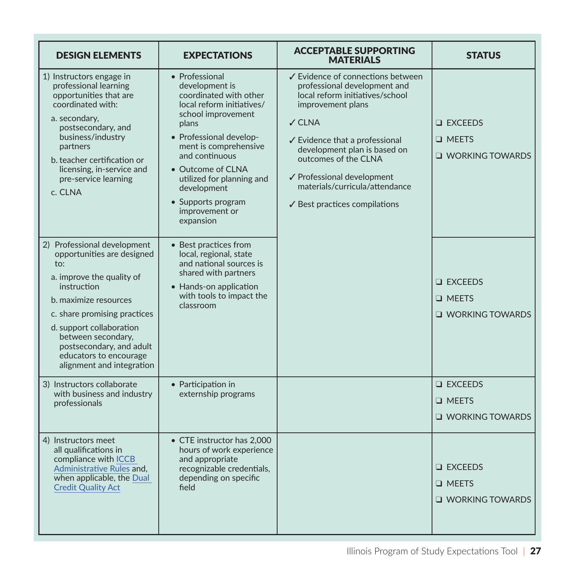| <b>DESIGN ELEMENTS</b>                                                                                                                                                                                                                                                                                     | <b>EXPECTATIONS</b>                                                                                                                                                                                                                                                                                                | <b>ACCEPTABLE SUPPORTING</b><br><b>MATERIALS</b>                                                                                                                                                                                                                                                                                                     | <b>STATUS</b>                                                  |
|------------------------------------------------------------------------------------------------------------------------------------------------------------------------------------------------------------------------------------------------------------------------------------------------------------|--------------------------------------------------------------------------------------------------------------------------------------------------------------------------------------------------------------------------------------------------------------------------------------------------------------------|------------------------------------------------------------------------------------------------------------------------------------------------------------------------------------------------------------------------------------------------------------------------------------------------------------------------------------------------------|----------------------------------------------------------------|
| 1) Instructors engage in<br>professional learning<br>opportunities that are<br>coordinated with:<br>a. secondary,<br>postsecondary, and<br>business/industry<br>partners<br>b. teacher certification or<br>licensing, in-service and<br>pre-service learning<br>c. CLNA                                    | • Professional<br>development is<br>coordinated with other<br>local reform initiatives/<br>school improvement<br>plans<br>· Professional develop-<br>ment is comprehensive<br>and continuous<br>• Outcome of CLNA<br>utilized for planning and<br>development<br>• Supports program<br>improvement or<br>expansion | ✔ Evidence of connections between<br>professional development and<br>local reform initiatives/school<br>improvement plans<br>√ CLNA<br>$\checkmark$ Evidence that a professional<br>development plan is based on<br>outcomes of the CLNA<br>✔ Professional development<br>materials/curricula/attendance<br>$\checkmark$ Best practices compilations | <b>Q</b> EXCEEDS<br><b>D</b> MEETS<br><b>U WORKING TOWARDS</b> |
| 2) Professional development<br>opportunities are designed<br>to:<br>a. improve the quality of<br>instruction<br>b. maximize resources<br>c. share promising practices<br>d. support collaboration<br>between secondary,<br>postsecondary, and adult<br>educators to encourage<br>alignment and integration | • Best practices from<br>local, regional, state<br>and national sources is<br>shared with partners<br>• Hands-on application<br>with tools to impact the<br>classroom                                                                                                                                              |                                                                                                                                                                                                                                                                                                                                                      | <b>Q EXCEEDS</b><br><b>D</b> MEETS<br>U WORKING TOWARDS        |
| 3) Instructors collaborate<br>with business and industry<br>professionals                                                                                                                                                                                                                                  | • Participation in<br>externship programs                                                                                                                                                                                                                                                                          |                                                                                                                                                                                                                                                                                                                                                      | <b>Q</b> EXCEEDS<br><b>Q MEETS</b><br><b>U WORKING TOWARDS</b> |
| 4) Instructors meet<br>all qualifications in<br>compliance with ICCB<br>Administrative Rules and,<br>when applicable, the Dual<br><b>Credit Quality Act</b>                                                                                                                                                | • CTE instructor has 2,000<br>hours of work experience<br>and appropriate<br>recognizable credentials,<br>depending on specific<br>field                                                                                                                                                                           |                                                                                                                                                                                                                                                                                                                                                      | <b>EXCEEDS</b><br><b>Q MEETS</b><br>U WORKING TOWARDS          |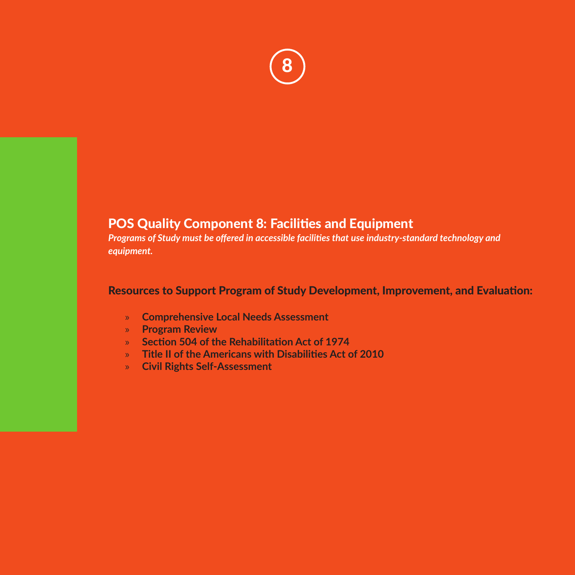

## POS Quality Component 8: Facilities and Equipment

*Programs of Study must be offered in accessible facilities that use industry-standard technology and equipment.*

- » **Comprehensive Local Needs Assessment**
- » **Program Review**
- » **Section 504 of the Rehabilitation Act of 1974**
- » **Title II of the Americans with Disabilities Act of 2010**
- » **Civil Rights Self-Assessment**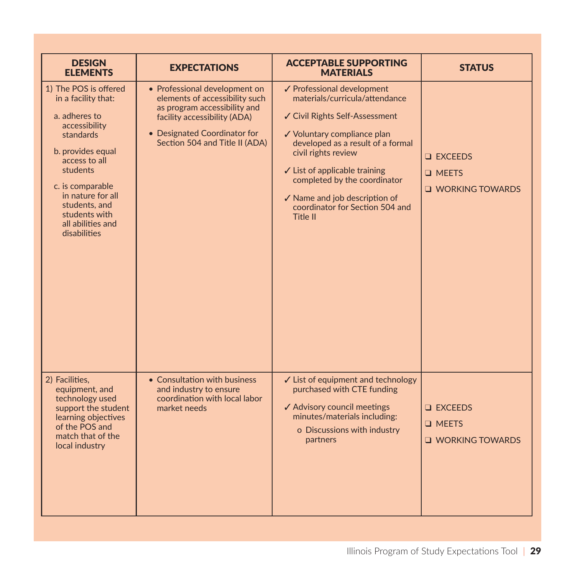| <b>DESIGN</b><br><b>ELEMENTS</b>                                                                                                                                                                                                                              | <b>EXPECTATIONS</b>                                                                                                                                                                               | <b>ACCEPTABLE SUPPORTING</b><br><b>MATERIALS</b>                                                                                                                                                                                                                                                                                                             | <b>STATUS</b>                                                |
|---------------------------------------------------------------------------------------------------------------------------------------------------------------------------------------------------------------------------------------------------------------|---------------------------------------------------------------------------------------------------------------------------------------------------------------------------------------------------|--------------------------------------------------------------------------------------------------------------------------------------------------------------------------------------------------------------------------------------------------------------------------------------------------------------------------------------------------------------|--------------------------------------------------------------|
| 1) The POS is offered<br>in a facility that:<br>a. adheres to<br>accessibility<br>standards<br>b. provides equal<br>access to all<br>students<br>c. is comparable<br>in nature for all<br>students, and<br>students with<br>all abilities and<br>disabilities | • Professional development on<br>elements of accessibility such<br>as program accessibility and<br>facility accessibility (ADA)<br>• Designated Coordinator for<br>Section 504 and Title II (ADA) | ✔ Professional development<br>materials/curricula/attendance<br>√ Civil Rights Self-Assessment<br>✔ Voluntary compliance plan<br>developed as a result of a formal<br>civil rights review<br>$\checkmark$ List of applicable training<br>completed by the coordinator<br>√ Name and job description of<br>coordinator for Section 504 and<br><b>Title II</b> | $\Box$ EXCEEDS<br><b>D</b> MEETS<br><b>U WORKING TOWARDS</b> |
| 2) Facilities,<br>equipment, and<br>technology used<br>support the student<br>learning objectives<br>of the POS and<br>match that of the<br>local industry                                                                                                    | • Consultation with business<br>and industry to ensure<br>coordination with local labor<br>market needs                                                                                           | ✓ List of equipment and technology<br>purchased with CTE funding<br>✔ Advisory council meetings<br>minutes/materials including:<br>o Discussions with industry<br>partners                                                                                                                                                                                   | $\Box$ EXCEEDS<br><b>D</b> MEETS<br><b>U WORKING TOWARDS</b> |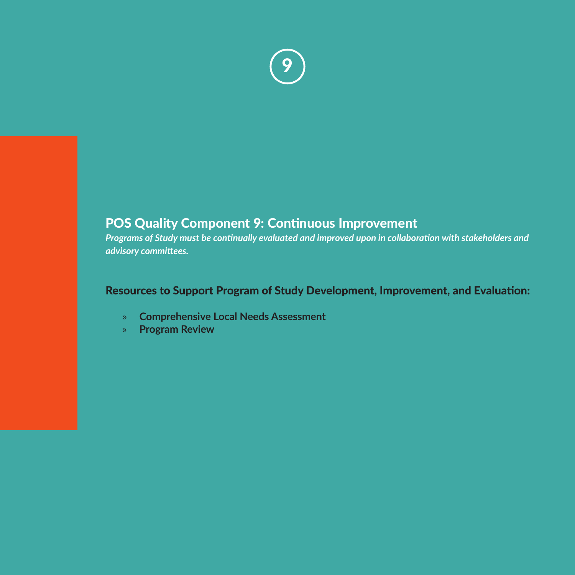

## POS Quality Component 9: Continuous Improvement

*Programs of Study must be continually evaluated and improved upon in collaboration with stakeholders and advisory committees.*

- » **Comprehensive Local Needs Assessment**
- » **Program Review**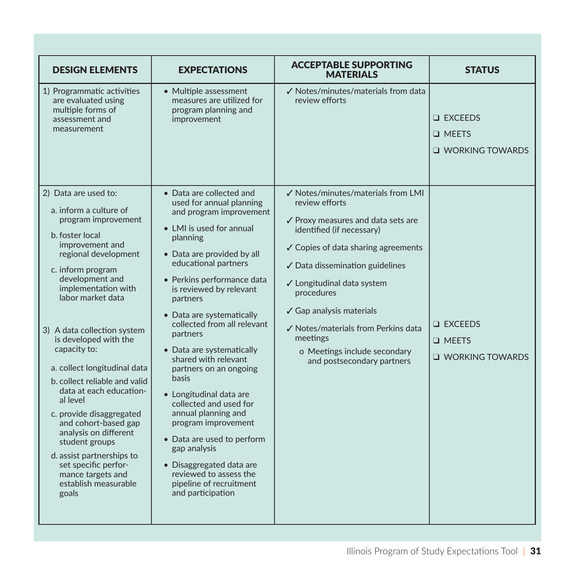| <b>DESIGN ELEMENTS</b>                                                                                                                                                                                                                                                                                                                                                                                                                                                                                                                                                                                            | <b>EXPECTATIONS</b>                                                                                                                                                                                                                                                                                                                                                                                                                                                                                                                                                                                                                                                       | <b>ACCEPTABLE SUPPORTING</b><br><b>MATERIALS</b>                                                                                                                                                                                                                                                                                                                                           | <b>STATUS</b>                                                  |
|-------------------------------------------------------------------------------------------------------------------------------------------------------------------------------------------------------------------------------------------------------------------------------------------------------------------------------------------------------------------------------------------------------------------------------------------------------------------------------------------------------------------------------------------------------------------------------------------------------------------|---------------------------------------------------------------------------------------------------------------------------------------------------------------------------------------------------------------------------------------------------------------------------------------------------------------------------------------------------------------------------------------------------------------------------------------------------------------------------------------------------------------------------------------------------------------------------------------------------------------------------------------------------------------------------|--------------------------------------------------------------------------------------------------------------------------------------------------------------------------------------------------------------------------------------------------------------------------------------------------------------------------------------------------------------------------------------------|----------------------------------------------------------------|
| 1) Programmatic activities<br>are evaluated using<br>multiple forms of<br>assessment and<br>measurement                                                                                                                                                                                                                                                                                                                                                                                                                                                                                                           | • Multiple assessment<br>measures are utilized for<br>program planning and<br>improvement                                                                                                                                                                                                                                                                                                                                                                                                                                                                                                                                                                                 | √ Notes/minutes/materials from data<br>review efforts                                                                                                                                                                                                                                                                                                                                      | <b>Q EXCEEDS</b><br><b>Q MEETS</b><br><b>U WORKING TOWARDS</b> |
| 2) Data are used to:<br>a. inform a culture of<br>program improvement<br>b. foster local<br>improvement and<br>regional development<br>c. inform program<br>development and<br>implementation with<br>labor market data<br>3) A data collection system<br>is developed with the<br>capacity to:<br>a. collect longitudinal data<br>b. collect reliable and valid<br>data at each education-<br>al level<br>c. provide disaggregated<br>and cohort-based gap<br>analysis on different<br>student groups<br>d. assist partnerships to<br>set specific perfor-<br>mance targets and<br>establish measurable<br>goals | • Data are collected and<br>used for annual planning<br>and program improvement<br>• LMI is used for annual<br>planning<br>• Data are provided by all<br>educational partners<br>· Perkins performance data<br>is reviewed by relevant<br>partners<br>• Data are systematically<br>collected from all relevant<br>partners<br>• Data are systematically<br>shared with relevant<br>partners on an ongoing<br>basis<br>• Longitudinal data are<br>collected and used for<br>annual planning and<br>program improvement<br>• Data are used to perform<br>gap analysis<br>• Disaggregated data are<br>reviewed to assess the<br>pipeline of recruitment<br>and participation | √ Notes/minutes/materials from LMI<br>review efforts<br>√ Proxy measures and data sets are<br>identified (if necessary)<br>✓ Copies of data sharing agreements<br>✔ Data dissemination guidelines<br>✔ Longitudinal data system<br>procedures<br>√ Gap analysis materials<br>√ Notes/materials from Perkins data<br>meetings<br>o Meetings include secondary<br>and postsecondary partners | <b>Q EXCEEDS</b><br>$\Box$ MEETS<br><b>U WORKING TOWARDS</b>   |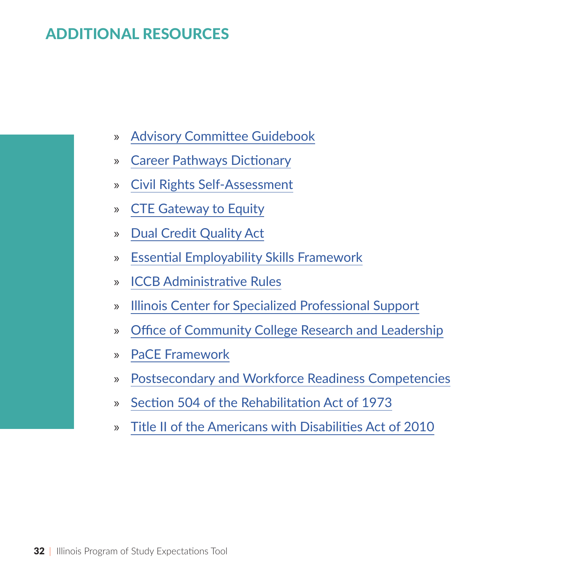# ADDITIONAL RESOURCES

- » [Advisory Committee Guidebook](https://icsps.illinoisstate.edu/images/pdfs/CTE/Perkins_V/Super-Strategies-Advisory-Committee-Guidebook-Updated.pdf)
- » [Career Pathways Dictionary](https://icsps.illinoisstate.edu/images/pdfs/CTE/Perkins_V/6Perkins_V_Resource_IL-Career-Pathways-Dictionary.pdf)
- » [Civil Rights Self-Assessment](http://www.ilcivilrightsreview.com)
- » [CTE Gateway to Equity](https://occrl.illinois.edu/cte-gateway-to-equity)
- » [Dual Credit Quality Act](http://www.ilga.gov/legislation/ilcs/ilcs3.asp?ActID=3117&ChapterID=18)
- » [Essential Employability Skills Framework](https://icsps.illinoisstate.edu/2-home/63-illinois-essential-employability-skills-framework)
- » [ICCB Administrative Rules](https://www.iccb.org/iccb/wp-content/pdfs/manuals/ICCB_SystemRules_Manual.pdf)
- » [Illinois Center for Specialized Professional Support](https://icsps.illinoisstate.edu/)
- » [Office of Community College Research and Leadership](https://occrl.illinois.edu/)
- » [PaCE Framework](https://www.isac.org/pace/il-pace-resource-materials.html)
- » [Postsecondary and Workforce Readiness Competencies](https://www.jff.org/documents/2961/PWR_Report_4-16-19.pdf)
- » [Section 504 of the Rehabilitation Act of 1973](http://www.ilcivilrightsreview.com/wp-content/uploads/2014/11/34cfr104.pdf)
- » [Title II of the Americans with Disabilities Act of 2010](http://www.ada.gov/2010ADAstandards_index.htm)